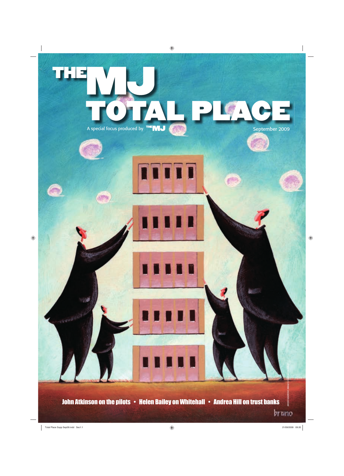# TOTAL PLACE A special focus produced by THEMU RESERVE ENTITLE September 2009 **TTTTT**

John Atkinson on the pilots • Helen Bailey on Whitehall • Andrea Hill on trust banks

bruno

*BRUNO BUDROVIC/IMAGES.COM/PHOTOLIBRARY*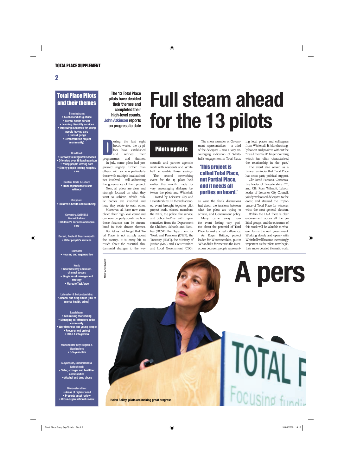### Total Place Pilots and their themes

Birmingham: **• Alcohol and drug abuse • Mental health service • Learning disability services • Improving outcomes for young people leaving care • Guns & gangs • Demonstration project (community)**

### Bradford:

**• Gateway to integrated services • Offenders over 18 leaving prison • Young people leaving care • Elderly people leaving hospital/ care**

> Central Beds & Luton: **• From dependence to selfreliance**

Croydon: **• Children's health and wellbeing** 

Coventry, Solihill & Warwickshire: **• Children's services and social care**

Dorset, Poole & Bournemouth: **• Older people's services**

### Durham: **• Housing and regeneration**

Kent: **• Kent Gateway and multichannel access • Single asset management strategy • Margate Taskforce**

Leicester & Leicestershire: **• Alcohol and drug abuse (link to mental health, crime)**

Lewisham: **• Minimising reoffending • Managing ex-offenders in the community • Worklessness and young people • Procurement project • PCT/LA integration**

Manchester City Region & Warrington: **• 0-5-year-olds**

S.Tyneside, Sunderland & Gateshead: **• Safer, stronger and healthier communities • Alcohol and drug abuse**

Worcestershire:  **• Areas of highest need • Property asset review • Cross-organisational review**

### **The 13 Total Place pilots have decided their themes and completed their high-level counts. John Atkinson reports on progress to date**

**DEREVANCE SET AN INCRED SET AN ISLANCE SET AN ISLANCE SET AN ISLANCE SET AN ISLANCE SET AN ISLAMENT STATE SHOW AN ISLAMENT STATES AND SET AN ISLAMENT STATES AND SET AND SET AND SET AND SET AND SET AND SET AND SET AND SET** uring the last eight hectic weeks, the 13 pilots have established and refined their<br>nmes and themes In July, some pilots had progressed slightly further than

others, with some – particularly those with multiple local authorities involved – still addressing the governance of their project.

Now, all pilots are clear and strongly focused on what they want to achieve, which public bodies are involved and how they relate to each other.

Moreover, all have now completed their high level count and can now properly scrutinise how those finances can be streamlined in their chosen themes.

But let us not forget that Total Place is not simply about the money, it is every bit as much about the essential, fundamental changes to the way

### **Full steam ahead for the 13 pilots**

### Pilots update

councils and partner agencies work with residents and Whitehall to enable those savings.

The second networking event for the 13 pilots held earlier this month made for very encouraging dialogue between the pilots and Whitehall.

Hosted by Leicester City and Leicestershire CC, the well-attended event brought together pilot project leads, elected members, the NHS, the police, fire service, and JobcentrePlus with representatives from the Department for Children, Schools and Families (DCSF), the Department for Work and Pensions (DWP), the Treasury (HMT), the Ministry of Justice (MoJ) and Communities and Local Government (CLG).

The sheer number of Government representatives – a third of the delegates – was a very encouraging indication of Whitehall's engagement in Total Place,

### 'This project is called Total Place, not Partial Place, and it needs all parties on board.'

as were the frank discussions had about the tensions between what the pilots are trying to achieve, and Government policy. Many came away from

the event feeling very positive about the potential of Total Place to make a real difference.

As Roger Britton, project leader for Worcestershire, put it: 'What did it for me was the interaction between people represent-

ing local places and colleagues from Whitehall. It felt refreshingly honest and positive without the "it's all their fault" finger-pointing which has often characterised the relationship in the past.'

The event also served as a timely reminder that Total Place has cross-party political support.

Cllr David Parsons, Conservative leader of Leicestershire CC, and Cllr Ross Wilmott, Labour leader of Leicester City Council, jointly welcomed delegates to the event, and stressed the importance of Total Place for whoever wins the next general election.

Within the LGA there is clear endorsement across all the political groups, and the outcomes of this work will be valuable to whoever forms the next government. Working closely and openly with Whitehall will become increasingly important as the pilots now begin their more detailed thematic work.

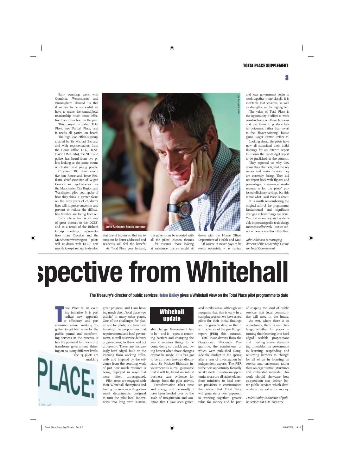Early counting work with Cumbria, Westminster and Birmingham showed us that if we are to be successful we have to make the central/local relationship much more effective than it has been in the past.

This project is called Total Place, not Partial Place, and it needs all parties on board.

The high level officials group, chaired by Sir Michael Bichard, and with representatives from the Home Office, CLG, DCSF, DWP, HMT, MoJ, the NHS and police, has heard from two pilots looking at the same theme of children and young people.

Croydon LBC chief executive Jon Rouse and Joyce Redfearn, chief executive of Wigan Council and spokesperson for the Manchester City Region and Warrington pilot, both spoke of how they think a greater focus on the early years of children's lives will improve outcomes and prevent or reduce the difficulties families are facing later on.

Early intervention is an area of great interest to the DCSF, and as a result of the Bichard Group meetings, representatives from Croydon and the Manchester/Warrington pilots will sit down with DCSF next month to explore how to develop



that line of inquiry so that the issues can be better addressed and residents will feel the benefit. As Total Place goes forward,

this pattern can be repeated with all the pilots' chosen themes – for instance, those looking at substance misuse might sit

down with the Home Office, Department of Health and MoJ. Of course, it never pays to be overly optimistic – as central and local government begin to work together more closely, it is inevitable that tensions, as well as strengths, will be highlighted.

The value of Total Place is the opportunity it offers to work constructively on these tensions and use them to produce better outcomes, rather than revert to the "finger-pointing" blame game Roger Britton refers to.

Looking ahead, the pilots have now all submitted their initial findings for an interim report to inform the pre-Budget report to be published in the autumn.

They reported on why they chose their theme/s, and the key issues and main barriers they are currently facing. They did not report back with figures and percentages; a common media request is for the pilots' projected efficiency savings, but this is not what Total Place is about.

It is worth remembering the original aim of the programme: fundamental and significant changes to how things are done. Yes, the secondary and undeniably important goal is to do things more cost-effectively – but we cannot achieve one without the other.

John Atkinson is managing director of the Leadership Centre for Local Government

**The Treasury's director of public services Helen Bailey gives a Whitehall view on the Total Place pilot programme to date**

otal Place is an excit-<br>ing initiative. It is part<br>'radical new approach<br>to efficiency' and part<br>common sense, working tootal Place is an exciting initiative. It is part 'radical new approach to efficiency' and part gether to get best value for the public pound and transforming services in the process. It has the potential to inform and transform government thinking on so many different levels. The 13 pilots are

making



great progress, and I am hearing much about 'total place type activity' in many other places. One of the challenges for places, and for pilots, is to turn their learning into propositions that require central and local government, as well as service delivery organisations, to think and act differently. These are increasingly hard edged, built on the learning from working differently and inspired by the evidence from the counting work of just how much resource is being deployed in ways that were often unrecognised. Pilot areas are engaged with

their Whitehall champions and having discussions with government departments designed to turn the pilot local innovations into long term sustain-

### **Whitehall** update

able change. Government has to be – and is – open to removing barriers and changing the way it requires things to be done, doing so frankly and being honest when those changes cannot be made. This has got to be an open two-way discussion. Sir Michael Bichard's involvement is a real guarantee that it will be, based on robust business case evidence for change from the pilot activity.

Transformation takes time and energy and personally I have been bowled over by the scale of imagination and ambition that I have seen gener-

ated in pilot areas. Although we recognise that this is early in a complex process, we have asked pilots for their initial findings and progress to date, so that it is in advance of the pre Budget report (PBR) this autumn.

Total Place derives from the Operational Efficiency Programme, the conclusions of which were published alongside the Budget in the spring after a year of investigation by independent experts. The PBR is the next opportunity formally to take stock. It is also an opportunity to assure all stakeholders, from ministers to local service providers to communities themselves, that Total Place will generate a new approach to working together, greater value for money and be part of shaping the kind of public services that local communities will need in the future.

As ever, where there is an opportunity, there is real challenge; whether for places in turning their learning into hard edged scalable propositions and meeting some demanding timetables; for government in learning, responding and removing barriers to change; for all of us in focusing on service and customers rather than on organisation structures and embedded interests. This work should showcase how co-operation can deliver better public services which demonstrate real value for money.

Helen Bailey is director of public services at HM Treasury

3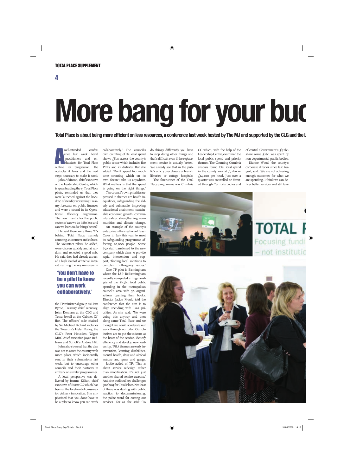4

## **More bang for your buc**

Total Place is about being more efficient on less resources, a conference last week hosted by The MJ and supported by the CLG and the

well-attended conference last week heard<br>practitioners and en-<br>thusiasts for Total Place<br>outline its progression, the well-attended conference last week heard practitioners and enthusiasts for Total Place obstacles it faces and the next steps necessary to make it work.

John Atkinson, chief executive of the Leadership Centre, which is spearheading the 13 Total Place pilots, reminded us that they were launched against the backdrop of steadily worsening Treasury forecasts on public finances and were a strand in its Operational Efficiency Programme. The new mantra for the public sector is 'can we do it for less and can we learn to do things better?'

He said there were three 'C's behind Total Place, namely counting, customers and culture. The volunteer pilots, he added, were chosen quickly and at random and reflected a good mix. He said they had already attracted a high level of Whitehall interest, naming the key ministers in

### 'You don't have to be a pilot to know you can work collaboratively.'

the TP ministerial group as Liam Byrne, Treasury chief secretary, John Denham at the CLG and Tessa Jowell at the Cabinet Office. The officers' side chaired by Sir Michael Bichard includes the Treasury's Helen Bailey, the CLG's Peter Housden, Wigan MBC chief executive Joyce Redfearn and Suffolk's Andrea Hill.

John also stressed that the aim was not to cover the country with more pilots, which incidentally sent in their submissions last week, but to encourage other councils and their partners to embark on similar programmes.

A local perspective was delivered by Joanna Killian, chief executive of Essex CC which has been at the forefront of cross-sector delivery innovation. She emphasised that 'you don't have to be a pilot to know you can work

collaboratively.' The council's own counting of its local spend shows £8bn across the county's public sector which includes five PCTs and 12 districts. But she added: 'Don't spend too much time counting which on its own doesn't take us anywhere. What matters is that the spend is going on the right things.'

The council's own priorities expressed in themes are health inequalities, safeguarding the elderly and vulnerable, improving educational attainment, sustainable economic growth, community safety, strengthening communities and climate change.

An example of the county's enterprise is the creation of Essex Cares in July this year to meet its safeguarding programme affecting 10,000 people. Some 850 staff transferred to the new company which aims to provide rapid intervention and support, 'finding local solutions to complex multi-agency issues.'

One TP pilot is Birmingham where the LSP BeBirmingham recently completed a huge analysis of the  $f_7.5$ bn total public spending in the metropolitan council's area with 50 organisations opening their books. Director Jackie Mould told the conference that the aim is to align spending with LAA priorities. As she said: 'We were doing this anyway and then along came Total Place and we thought we could accelerate our work through our pilot. Our objectives are to put the citizens at the heart of the service, identify efficiency and develop new leadership.' Pilot themes are early intervention, learning disabilities, mental health, drug and alcohol misuse and guns and gangs. Jackie added of TP: 'This is

about service redesign rather than modification. It's not just another shared service exercise.' And she outlined key challenges (see box) for Total Place. Not least of these was dealing with public reaction to decommissioning, the polite word for cutting out services. For as she said: 'To do things differently you have to stop doing other things and that's difficult even if the replacement service is actually better.' We already see that in the public's outcry over closure of branch libraries or cottage hospitals.

The forerunner of the Total Place programme was Cumbria

CC which, with the help of the Leadership Centre, examined the local public spend and priority themes. The Counting Cumbria analysis found total local spend in the county area at  $f_{7}$ .1bn or £14,200 per head. Just over a quarter was controlled or directed through Cumbria bodies and of central Government's £5.2bn share some  $f_2$ bn was spent by non-departmental public bodies.

Dianne Wood, the county's corporate director since last August, said: 'We are not achieving enough outcomes for what we are spending. I think we can deliver better services and still take



**TOTAL** Focusing fund ot instituti

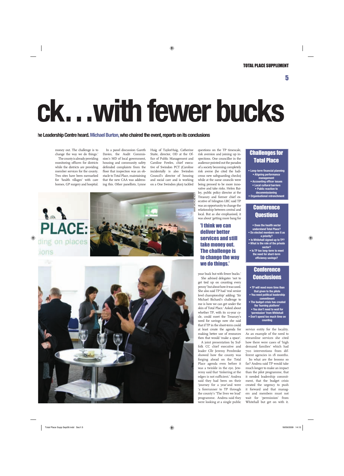5

## **ck…with fewer bucks**

### **he Leadership Centre heard. Michael Burton, who chaired the event, reports on its conclusions**

money out. The challenge is to change the way we do things.' The county is already providing monitoring officers for districts while the districts are providing member services for the county. Two sites have been earmarked for 'health villages' with care homes, GP surgery and hospital.

In a panel discussion Gareth Davies, the Audit Commission's MD of local government, housing and community safety defended complaints from the floor that inspection was an obstacle to Total Place, maintaining that the new CAA was addressing this. Other panellists, Lynne Haig of TaylorHaig, Catherine Staite, director, OD at the Office of Public Management and Caroline Fowles, chief executive of Swindon PCT (Caroline incidentally is also Swindon Council's director of housing and social care and is working on a One Swindon plan) tackled







risk aversion and joining up inspections. One councillor in the audience pointed out the paradox of a society becoming completely risk averse (he cited the ludicrous new safeguarding checks) while at the same councils were being pressed to be more innovative and take risks. Helen Bailey, public policy director at the Treasury and former chief executive of Islington LBC said TP was an opportunity to change the relationship between central and local. But as she emphasised, it was about 'getting more bang for

*MARK WOHLWENDER*

questions on the TP timescale,

### 'I think we can deliver better services and still take money out. The challenge is to change the way we do things.'

your buck but with fewer bucks.'

She advised delegates 'not to get tied up on counting every penny' but about how it was used. She also said TP had 'real senior level championship' adding: 'Sir Michael Bichard's challenge to me is how we can get under the skin of Total Place.' Asked about whether TP, with its 10-year cycle, could meet the Treasury's need for savings now she said that if TP in the short-term could at least create the agenda for making better use of resources then that would 'make a space'.

A joint presentation by Suffolk CC chief executive and leader Cllr Jeremy Pembroke showed how the county was forging ahead on the Total Place agenda even before it was a twinkle in the eye. Jewremy said that 'tinkering at the edges is not sufficient.' Andrea said they had been on their 'journey for a year'and were 'a forerunner to TP through the county's 'The lives we lead' programme. Andrea said they were looking at a single public

### Challenges for Total Place

- **Long-term financial planning • Aligning performance management**
- Accounting officer issues **• Local cultural barriers • Public reaction to**
- **decommissioning • Organisational retrenchment**

### **Conference Questions**

- **Does the health sector understand Total Place? • Do elected members see it as**
- **a priority? • Is Whitehall signed up to TP? • What is the role of the private sector?**
- **Is TP too long-term to meet the need for short-term effi ciency savings?**

### **Conference Conclusions**

- **TP will need more time than that given to the pilots • You need political leadership**
- **commitment • The budget crisis has created the 'burning platform' • You don't need to wait for 'permission' from Whitehall**
- **Don't spend too much time on counting**

service entity for the locality. As an example of the need to streamline services she cited how there were cases of 'high demand families' which had 700 interventions from different agencies in 18 months.

So what are the lessons so far? Andrea said TP would take much longer to make an impact than the pilot programme, that it needed leadership commitment, that the budget crisis created the urgency to push it forward and that managers and members must not wait for 'permission' from Whitehall but get on with it.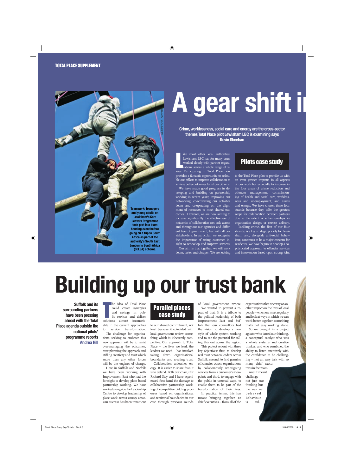

## **A gear shift i**

**Crime, worklessness, social care and energy are the cross-sector themes Total Place pilot Lewisham LBC is examining says Kevin Sheehan**

ike most other local authorities,<br>Lewisham LBC has for many years<br>worked closely with partner organisations across a whole range of is-<br>sues. Participating in Total Place now ike most other local authorities, Lewisham LBC has for many years worked closely with partner organisations across a whole range of isprovides a fantastic opportunity to redouble our efforts to improve collaboration to achieve better outcomes for all our citizens.

We have made good progress in developing and building on partnership working in recent years; improving our networking, co-ordinating our activities better and co-operating on the alignment of resources to meet shared outcomes. However, we are now aiming to increase significantly the effectiveness of networks of collaboration not only across and throughout our agencies and different tiers of government, but with all our stakeholders. In particular, we recognise the importance of using customer insight to redevelop and improve services.

Our aim is that together, we will work better, faster and cheaper. We are looking

### Pilots case study

to the Total Place pilot to provide us with an even greater impetus in all aspects of our work but especially to improve in the four areas of crime reduction and offender management, commissioning of health and social care, worklessness and unemployment, and assets and energy. We have chosen these four strands because they offer the greatest scope for collaboration between partners due to the extent of either overlaps in organisation design or service delivery.

Tackling crime, the first of our four strands, is a key strategic priority for Lewisham and, alongside anti-social behaviour, continues to be a major concern for residents. We have begun to develop a sophisticated approach to offender services and intervention based upon strong joint

### **Building up our trust bank**

**Suffolk and its surrounding partners have been pressing ahead with the Total Place agenda outside the national pilots' programme reports Andrea Hill**

he idea of Total Place<br>
could create synergies<br>
and savings in pub-<br>
lic services and deliver<br>
solutions almost inconceivhe idea of Total Place -<br>could create synergies and savings in public services and deliver able in the current approaches service transformation.

The challenge for organisations seeking to embrace this new approach will be to resist over-managing the outcomes, over planning the approach and stifling creativity and trust which more than any other forces will be the engines of change.

Here in Suffolk and Norfolk we have been working with Improvement East who had the foresight to develop place based partnership working. We have worked alongside the Leadership Centre to develop leadership of place work across county areas. Our success has been testament

### Parallel places case study

to our shared commitment, not least because it coincided with local government review, something which is inherently competitive. Our approach to Total Place – the lives we lead, the leaders we need – has involved taking down organisational boundaries and creating trust.

Collaboration unleashes energy. It is easier to share than it is to defend. Both our chair, Cllr Richard Stay and I have experienced first hand the damage to collaborative partnership working of competitive bidding processes based on organisational and territorial boundaries in our case through previous rounds

of local government review.

We wanted to prevent a repeat of that. It is a tribute to the political leadership of both Improvement East and Suffolk that our councillors had the vision to develop a new style of whole system working and to see the potential for rolling this out across the region.

This project set out with three key objectives: first, to develop real trust between leaders across Suffolk; second, to find genuine efficiencies across organisations by collaboratively redesigning services from a customer's viewpoint; and third, to engage with the public in unusual ways, to enable them to be part of the transformation of their lives.

In practical terms, this has meant bringing together 22 chief executives – from all of the organisations that one way or another impact on the lives of local people – who now meet regularly and look at ways in which we can work better together, something that's not easy working alone.

So we brought in a project agitator who jarred our thinking, a conceptual catalyst who was a whole systems and creative thinker, and who combined the ability to listen attentively with the confidence to be challenging – not an easy task with so many chief execu-

tives in the room. And it meant challenge – not just our thinking but the way we b e h a v e d . Behaviour<br>is culcul-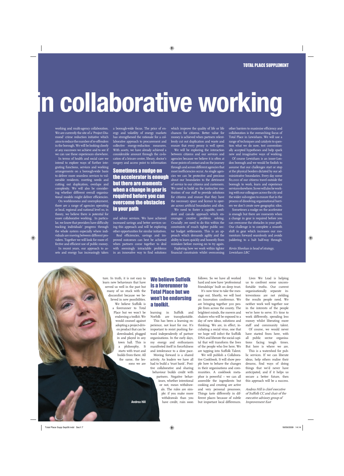### **in collaborative working**

working and multi-agency collaboration. We are currently the site of a 'Project Diamond' crime reduction initiative which aims to reduce the number of re-offenders in the borough. We will be looking closely at any successes we achieve and to see if we can use these experiences elsewhere.

In terms of health and social care we intend to explore ways of further integrating functions, services and working arrangements on a borough-wide basis to deliver more seamless services to vulnerable residents, meeting needs and cutting out duplication, overlaps and complexity. We will also be considering whether different overall organisational models might deliver efficiencies.

On worklessness and unemployment, there are a range of agencies operating at local, regional and national level so, in theory, we believe there is potential for more collaborative working. In particular, we know that providers have difficulty tracking individuals' progress through the whole system especially where individuals are moving between different providers. Together we will look for more effective and efficient use of public money.

In recent years, our approach to assets and energy has increasingly taken a borough-wide focus. The price of energy and volatility of energy markets has strengthened the rationale for a collaborative approach to procurement and collective energy-reduction measures. With assets, we have already achieved a considerable amount through the co-location of a leisure centre, library, doctor's surgery and access point to information

Sometimes a nudge on the accelerator is enough but there are moments when a change in gear is required before you can overcome the obstacles in your path

and advice services. We have achieved increased savings and better services using this approach and will be exploring other opportunities for similar initiatives.

Real efficiencies, savings and improved outcomes can best be achieved when partners come together to deal with seemingly intractable problems in an innovative way to find solutions

which improve the quality of life or life chances for citizens. Better value for money is achieved when partners relentlessly cut out duplication and waste and ensure that every penny is well spent.

We will be exploring the interaction between citizens and our services and agencies because we believe it is often at those points of contact and on the journey through and across different agencies that most inefficiencies occur. As single agencies we can be protective and precious about our boundaries to the detriment of service to our citizens and customers. We need to build on the instinctive motivation of our staff to provide solutions for citizens and ensure that they have the necessary space and licence to operate across artificial boundaries and silos. We need to foster a capable, confi-

dent and can-do approach which encourages creative problem solving. Crucially ,we need to do this within the constraints of much tighter public sector budget settlements. This is an approach which demands agility and the ability to learn quickly and honestly from mistakes before moving on to try again.

Exploring how we work within tighter financial constraints whilst overcoming other barriers to maximise efficiency and collaboration is the overarching focus of Total Place in Lewisham. We will use a range of techniques and catalysts to question what we do now, test conventionally accepted hypotheses and help spark new and imaginative ways of working.

Of course Lewisham is an inner-London borough and we would be foolish to assume that our challenges start or stop at the physical borders dictated by our administrative boundaries. Every day some 80,000 of our citizens travel outside the borough to work, learn and experience services elsewhere. So we will also be working with our colleagues across the city and the wider sub-region to ensure that in the process of dissolving organisational barriers we don't create new geographic silos.

Sometimes a nudge on the accelerator is enough but there are moments when a change in gear is required before you can overcome the obstacles in your path. Our challenge is to complete a smooth shift in gear which increases our momentum forward seamlessly and avoids juddering to a halt half-way through.

Kevin Sheehan is head of strategy, Lewisham LBC

ture. In truth, it is not easy to learn new behaviours that have served us well in the past but many of us stuck with the discomfort because we believed in new possibilities. We believe Suffolk is a forerunner to Total Place but we won't be endorsing a toolkit. We would counsel against adopting a project-driven product that can be downloaded, plugged in and played in any town hall. This is a philosophy. It starts with trust and builds from there. All the same, the lessons we are

### We believe Suffolk is a forerunner to Total Place but we won't be endorsing a toolkit.

learning in Suffolk and Norfolk are transplantable.

This has been a learning experience, not least for me. It's important to resist pushing forward independently of partner organisations. In the early days, my energy and enthusiasm manifested itself in forcefulness and intolerance to a slow pace.

Moving forward is a shared activity. As leaders we have all had to build a 'trust bank'. Positive collaborative and sharing behaviour builds credit with partners. Negative behaviours, whether intentional or not, mean withdrawals. The rules are simple: if you make more withdrawals than you have credit, ruin soon

follows. So we have all worked hard and now have 'professional friendships' built on deep trust.

It's now time to take the message out. Shortly, we will host an Innovation conference. We are bringing together 300 people from across the county. The brightest minds, the movers and shakers who will be exposed to a day of new ideas, solutions and thinking. We are, in effect, incubating a social virus, one that we hope will infect the Suffolk DNA and liberate the social capital that will transform the lives of the people who live here. We are tapping into Suffolk Talent.

We will publish a Collaborative Cookbook. It will show people how to behave the changes in their organisations and communities. A cookbook metaphor is powerful – we can all assemble the ingredients but cooking and creating are active and very personal processes. Things taste differently in different places because of subtle but important local differences.

Lives We Lead is helping us to confront some uncomfortable truths. Our current organisationally separate interventions are not yielding the results people need. We neither work well together nor in the interests of the people we're here to serve. It's time to work differently, spending less money whilst liberating more staff and community talent. Of course, we would never

have started from here, with all public sector organisations facing tough times. But here is where we are.

This is a watershed for public services. If we can liberate ideas, help others realise their dreams, find ways of doing things that we'd never have anticipated, and if it helps us secure a better future, then this approach will be a success.

Andrea Hill is chief executive of Suffolk CC and chair of the executive advisory group of Improvement East

**Andrea Hill**